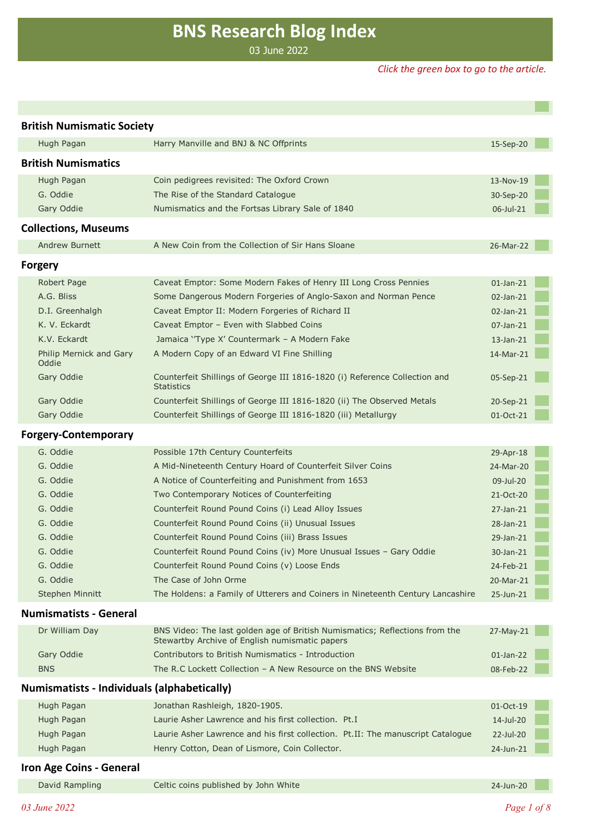# **BNS Research Blog Index**

03 June 2022

#### *Click the green box to go to the article.*

| <b>British Numismatic Society</b>                                |                                                                                                                               |              |  |  |
|------------------------------------------------------------------|-------------------------------------------------------------------------------------------------------------------------------|--------------|--|--|
| Hugh Pagan<br>Harry Manville and BNJ & NC Offprints<br>15-Sep-20 |                                                                                                                               |              |  |  |
| <b>British Numismatics</b>                                       |                                                                                                                               |              |  |  |
|                                                                  |                                                                                                                               |              |  |  |
| Hugh Pagan<br>G. Oddie                                           | Coin pedigrees revisited: The Oxford Crown                                                                                    | 13-Nov-19    |  |  |
| Gary Oddie                                                       | The Rise of the Standard Catalogue                                                                                            | 30-Sep-20    |  |  |
|                                                                  | Numismatics and the Fortsas Library Sale of 1840                                                                              | 06-Jul-21    |  |  |
| <b>Collections, Museums</b>                                      |                                                                                                                               |              |  |  |
| <b>Andrew Burnett</b>                                            | A New Coin from the Collection of Sir Hans Sloane                                                                             | 26-Mar-22    |  |  |
| <b>Forgery</b>                                                   |                                                                                                                               |              |  |  |
| Robert Page                                                      | Caveat Emptor: Some Modern Fakes of Henry III Long Cross Pennies                                                              | 01-Jan-21    |  |  |
| A.G. Bliss                                                       | Some Dangerous Modern Forgeries of Anglo-Saxon and Norman Pence                                                               | 02-Jan-21    |  |  |
| D.I. Greenhalgh                                                  | Caveat Emptor II: Modern Forgeries of Richard II                                                                              | 02-Jan-21    |  |  |
| K. V. Eckardt                                                    | Caveat Emptor - Even with Slabbed Coins                                                                                       | 07-Jan-21    |  |  |
| K.V. Eckardt                                                     | Jamaica 'Type X' Countermark - A Modern Fake                                                                                  | $13$ -Jan-21 |  |  |
| Philip Mernick and Gary<br>Oddie                                 | A Modern Copy of an Edward VI Fine Shilling                                                                                   | 14-Mar-21    |  |  |
| Gary Oddie                                                       | Counterfeit Shillings of George III 1816-1820 (i) Reference Collection and<br><b>Statistics</b>                               | 05-Sep-21    |  |  |
| Gary Oddie                                                       | Counterfeit Shillings of George III 1816-1820 (ii) The Observed Metals                                                        | 20-Sep-21    |  |  |
| Gary Oddie                                                       | Counterfeit Shillings of George III 1816-1820 (iii) Metallurgy                                                                | 01-Oct-21    |  |  |
| <b>Forgery-Contemporary</b>                                      |                                                                                                                               |              |  |  |
| G. Oddie                                                         | Possible 17th Century Counterfeits                                                                                            | 29-Apr-18    |  |  |
| G. Oddie                                                         | A Mid-Nineteenth Century Hoard of Counterfeit Silver Coins                                                                    | 24-Mar-20    |  |  |
| G. Oddie                                                         | A Notice of Counterfeiting and Punishment from 1653                                                                           | 09-Jul-20    |  |  |
| G. Oddie                                                         | Two Contemporary Notices of Counterfeiting                                                                                    | 21-Oct-20    |  |  |
| G. Oddie                                                         | Counterfeit Round Pound Coins (i) Lead Alloy Issues                                                                           | 27-Jan-21    |  |  |
| G. Oddie                                                         | Counterfeit Round Pound Coins (ii) Unusual Issues                                                                             | 28-Jan-21    |  |  |
| G. Oddie                                                         | Counterfeit Round Pound Coins (iii) Brass Issues                                                                              | 29-Jan-21    |  |  |
| G. Oddie                                                         | Counterfeit Round Pound Coins (iv) More Unusual Issues - Gary Oddie                                                           | 30-Jan-21    |  |  |
| G. Oddie                                                         | Counterfeit Round Pound Coins (v) Loose Ends                                                                                  | 24-Feb-21    |  |  |
| G. Oddie                                                         | The Case of John Orme                                                                                                         | 20-Mar-21    |  |  |
| <b>Stephen Minnitt</b>                                           | The Holdens: a Family of Utterers and Coiners in Nineteenth Century Lancashire                                                | 25-Jun-21    |  |  |
| <b>Numismatists - General</b>                                    |                                                                                                                               |              |  |  |
| Dr William Day                                                   | BNS Video: The last golden age of British Numismatics; Reflections from the<br>Stewartby Archive of English numismatic papers | 27-May-21    |  |  |
| Gary Oddie                                                       | Contributors to British Numismatics - Introduction                                                                            | 01-Jan-22    |  |  |
| <b>BNS</b>                                                       | The R.C Lockett Collection - A New Resource on the BNS Website                                                                | 08-Feb-22    |  |  |
| <b>Numismatists - Individuals (alphabetically)</b>               |                                                                                                                               |              |  |  |
| Hugh Pagan                                                       | Jonathan Rashleigh, 1820-1905.                                                                                                | 01-Oct-19    |  |  |
| Hugh Pagan                                                       | Laurie Asher Lawrence and his first collection. Pt.I                                                                          | 14-Jul-20    |  |  |
| Hugh Pagan                                                       | Laurie Asher Lawrence and his first collection. Pt.II: The manuscript Catalogue                                               | 22-Jul-20    |  |  |
| Hugh Pagan                                                       | Henry Cotton, Dean of Lismore, Coin Collector.                                                                                | 24-Jun-21    |  |  |
| <b>Iron Age Coins - General</b>                                  |                                                                                                                               |              |  |  |
| David Rampling                                                   | Celtic coins published by John White                                                                                          | 24-Jun-20    |  |  |
|                                                                  |                                                                                                                               |              |  |  |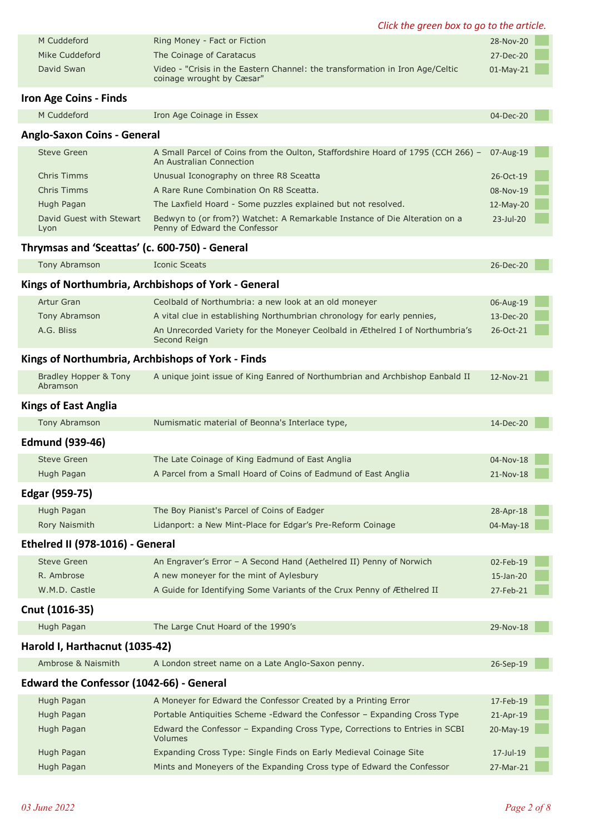|                                                | Click the green box to go to the article.                                                                    |             |  |
|------------------------------------------------|--------------------------------------------------------------------------------------------------------------|-------------|--|
| M Cuddeford                                    | Ring Money - Fact or Fiction                                                                                 | 28-Nov-20   |  |
| Mike Cuddeford                                 | The Coinage of Caratacus                                                                                     | 27-Dec-20   |  |
| David Swan                                     | Video - "Crisis in the Eastern Channel: the transformation in Iron Age/Celtic<br>coinage wrought by Cæsar"   | $01-May-21$ |  |
| Iron Age Coins - Finds                         |                                                                                                              |             |  |
| M Cuddeford                                    | Iron Age Coinage in Essex                                                                                    | 04-Dec-20   |  |
| <b>Anglo-Saxon Coins - General</b>             |                                                                                                              |             |  |
| <b>Steve Green</b>                             | A Small Parcel of Coins from the Oulton, Staffordshire Hoard of 1795 (CCH 266) -<br>An Australian Connection | 07-Aug-19   |  |
| <b>Chris Timms</b>                             | Unusual Iconography on three R8 Sceatta                                                                      | 26-Oct-19   |  |
| <b>Chris Timms</b>                             | A Rare Rune Combination On R8 Sceatta.                                                                       | 08-Nov-19   |  |
| Hugh Pagan                                     | The Laxfield Hoard - Some puzzles explained but not resolved.                                                | 12-May-20   |  |
| David Guest with Stewart<br>Lyon               | Bedwyn to (or from?) Watchet: A Remarkable Instance of Die Alteration on a<br>Penny of Edward the Confessor  | 23-Jul-20   |  |
| Thrymsas and 'Sceattas' (c. 600-750) - General |                                                                                                              |             |  |
| Tony Abramson                                  | <b>Iconic Sceats</b>                                                                                         | 26-Dec-20   |  |
|                                                | Kings of Northumbria, Archbishops of York - General                                                          |             |  |
| Artur Gran                                     | Ceolbald of Northumbria: a new look at an old moneyer                                                        | 06-Aug-19   |  |
| Tony Abramson                                  | A vital clue in establishing Northumbrian chronology for early pennies,                                      | 13-Dec-20   |  |
| A.G. Bliss                                     | An Unrecorded Variety for the Moneyer Ceolbald in Æthelred I of Northumbria's<br>Second Reign                | 26-Oct-21   |  |
|                                                | Kings of Northumbria, Archbishops of York - Finds                                                            |             |  |
| Bradley Hopper & Tony<br>Abramson              | A unique joint issue of King Eanred of Northumbrian and Archbishop Eanbald II                                | 12-Nov-21   |  |
| <b>Kings of East Anglia</b>                    |                                                                                                              |             |  |
| Tony Abramson                                  | Numismatic material of Beonna's Interlace type,                                                              | 14-Dec-20   |  |
| <b>Edmund (939-46)</b>                         |                                                                                                              |             |  |
| <b>Steve Green</b>                             | The Late Coinage of King Eadmund of East Anglia                                                              | 04-Nov-18   |  |
| Hugh Pagan                                     | A Parcel from a Small Hoard of Coins of Eadmund of East Anglia                                               | 21-Nov-18   |  |
| Edgar (959-75)                                 |                                                                                                              |             |  |
| Hugh Pagan                                     | The Boy Pianist's Parcel of Coins of Eadger                                                                  | 28-Apr-18   |  |
| Rory Naismith                                  | Lidanport: a New Mint-Place for Edgar's Pre-Reform Coinage                                                   | 04-May-18   |  |
| Ethelred II (978-1016) - General               |                                                                                                              |             |  |
| <b>Steve Green</b>                             | An Engraver's Error - A Second Hand (Aethelred II) Penny of Norwich                                          | 02-Feb-19   |  |
| R. Ambrose                                     | A new moneyer for the mint of Aylesbury                                                                      | 15-Jan-20   |  |
| W.M.D. Castle                                  | A Guide for Identifying Some Variants of the Crux Penny of Æthelred II                                       | 27-Feb-21   |  |
| Cnut (1016-35)                                 |                                                                                                              |             |  |
| Hugh Pagan                                     | The Large Cnut Hoard of the 1990's                                                                           | 29-Nov-18   |  |
| Harold I, Harthacnut (1035-42)                 |                                                                                                              |             |  |
| Ambrose & Naismith                             | A London street name on a Late Anglo-Saxon penny.                                                            | 26-Sep-19   |  |
| Edward the Confessor (1042-66) - General       |                                                                                                              |             |  |
| Hugh Pagan                                     | A Moneyer for Edward the Confessor Created by a Printing Error                                               | 17-Feb-19   |  |
| Hugh Pagan                                     | Portable Antiquities Scheme - Edward the Confessor - Expanding Cross Type                                    | 21-Apr-19   |  |
| Hugh Pagan                                     | Edward the Confessor - Expanding Cross Type, Corrections to Entries in SCBI<br>Volumes                       | 20-May-19   |  |
| Hugh Pagan                                     | Expanding Cross Type: Single Finds on Early Medieval Coinage Site                                            | 17-Jul-19   |  |
| Hugh Pagan                                     | Mints and Moneyers of the Expanding Cross type of Edward the Confessor                                       | 27-Mar-21   |  |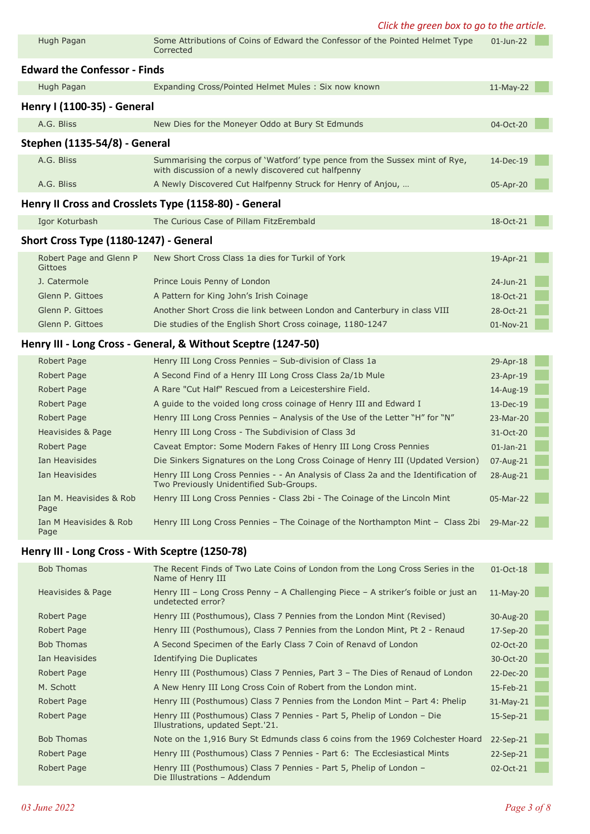*Click the green box to go to the article.*

| Hugh Pagan                                      | Some Attributions of Coins of Edward the Confessor of the Pointed Helmet Type<br>Corrected                                         | 01-Jun-22    |  |
|-------------------------------------------------|------------------------------------------------------------------------------------------------------------------------------------|--------------|--|
| <b>Edward the Confessor - Finds</b>             |                                                                                                                                    |              |  |
| Hugh Pagan                                      | Expanding Cross/Pointed Helmet Mules: Six now known                                                                                | 11-May-22    |  |
| Henry I (1100-35) - General                     |                                                                                                                                    |              |  |
| A.G. Bliss                                      | New Dies for the Moneyer Oddo at Bury St Edmunds                                                                                   | 04-Oct-20    |  |
| Stephen (1135-54/8) - General                   |                                                                                                                                    |              |  |
|                                                 |                                                                                                                                    |              |  |
| A.G. Bliss                                      | Summarising the corpus of 'Watford' type pence from the Sussex mint of Rye,<br>with discussion of a newly discovered cut halfpenny | 14-Dec-19    |  |
| A.G. Bliss                                      | A Newly Discovered Cut Halfpenny Struck for Henry of Anjou,                                                                        | 05-Apr-20    |  |
|                                                 | Henry II Cross and Crosslets Type (1158-80) - General                                                                              |              |  |
| Igor Koturbash                                  | The Curious Case of Pillam FitzErembald                                                                                            | 18-Oct-21    |  |
| Short Cross Type (1180-1247) - General          |                                                                                                                                    |              |  |
| Robert Page and Glenn P<br>Gittoes              | New Short Cross Class 1a dies for Turkil of York                                                                                   | 19-Apr-21    |  |
| J. Catermole                                    | Prince Louis Penny of London                                                                                                       | 24-Jun-21    |  |
| Glenn P. Gittoes                                | A Pattern for King John's Irish Coinage                                                                                            | 18-Oct-21    |  |
| Glenn P. Gittoes                                | Another Short Cross die link between London and Canterbury in class VIII                                                           | 28-Oct-21    |  |
| Glenn P. Gittoes                                | Die studies of the English Short Cross coinage, 1180-1247                                                                          | 01-Nov-21    |  |
|                                                 | Henry III - Long Cross - General, & Without Sceptre (1247-50)                                                                      |              |  |
| Robert Page                                     | Henry III Long Cross Pennies - Sub-division of Class 1a                                                                            | 29-Apr-18    |  |
| Robert Page                                     | A Second Find of a Henry III Long Cross Class 2a/1b Mule                                                                           | 23-Apr-19    |  |
| Robert Page                                     | A Rare "Cut Half" Rescued from a Leicestershire Field.                                                                             | 14-Aug-19    |  |
| Robert Page                                     | A guide to the voided long cross coinage of Henry III and Edward I                                                                 | 13-Dec-19    |  |
| Robert Page                                     | Henry III Long Cross Pennies - Analysis of the Use of the Letter "H" for "N"                                                       | 23-Mar-20    |  |
| Heavisides & Page                               | Henry III Long Cross - The Subdivision of Class 3d                                                                                 | 31-Oct-20    |  |
| Robert Page                                     | Caveat Emptor: Some Modern Fakes of Henry III Long Cross Pennies                                                                   | $01$ -Jan-21 |  |
| Ian Heavisides                                  | Die Sinkers Signatures on the Long Cross Coinage of Henry III (Updated Version)                                                    | 07-Aug-21    |  |
| Ian Heavisides                                  | Henry III Long Cross Pennies - - An Analysis of Class 2a and the Identification of<br>Two Previously Unidentified Sub-Groups.      | 28-Aug-21    |  |
| Ian M. Heavisides & Rob<br>Page                 | Henry III Long Cross Pennies - Class 2bi - The Coinage of the Lincoln Mint                                                         | 05-Mar-22    |  |
| Ian M Heavisides & Rob<br>Page                  | Henry III Long Cross Pennies - The Coinage of the Northampton Mint - Class 2bi                                                     | 29-Mar-22    |  |
| Henry III - Long Cross - With Sceptre (1250-78) |                                                                                                                                    |              |  |
| <b>Bob Thomas</b>                               | The Recent Finds of Two Late Coins of London from the Long Cross Series in the<br>Name of Henry III                                | 01-Oct-18    |  |
| Heavisides & Page                               | Henry III - Long Cross Penny - A Challenging Piece - A striker's foible or just an<br>undetected error?                            | $11-May-20$  |  |
| Robert Page                                     | Henry III (Posthumous), Class 7 Pennies from the London Mint (Revised)                                                             | 30-Aug-20    |  |
| Robert Page                                     | Henry III (Posthumous), Class 7 Pennies from the London Mint, Pt 2 - Renaud                                                        | 17-Sep-20    |  |
| <b>Bob Thomas</b>                               | A Second Specimen of the Early Class 7 Coin of Renavd of London                                                                    | 02-Oct-20    |  |
| Ian Heavisides                                  | <b>Identifying Die Duplicates</b>                                                                                                  | 30-Oct-20    |  |
| Robert Page                                     | Henry III (Posthumous) Class 7 Pennies, Part 3 - The Dies of Renaud of London                                                      | 22-Dec-20    |  |
| M. Schott                                       | A New Henry III Long Cross Coin of Robert from the London mint.                                                                    | 15-Feb-21    |  |
| Robert Page                                     | Henry III (Posthumous) Class 7 Pennies from the London Mint - Part 4: Phelip                                                       | 31-May-21    |  |
| Robert Page                                     | Henry III (Posthumous) Class 7 Pennies - Part 5, Phelip of London - Die<br>Illustrations, updated Sept.'21.                        | 15-Sep-21    |  |
| <b>Bob Thomas</b>                               | Note on the 1,916 Bury St Edmunds class 6 coins from the 1969 Colchester Hoard                                                     | 22-Sep-21    |  |
| Robert Page                                     | Henry III (Posthumous) Class 7 Pennies - Part 6: The Ecclesiastical Mints                                                          | 22-Sep-21    |  |
| Robert Page                                     | Henry III (Posthumous) Class 7 Pennies - Part 5, Phelip of London -<br>Die Illustrations - Addendum                                | 02-Oct-21    |  |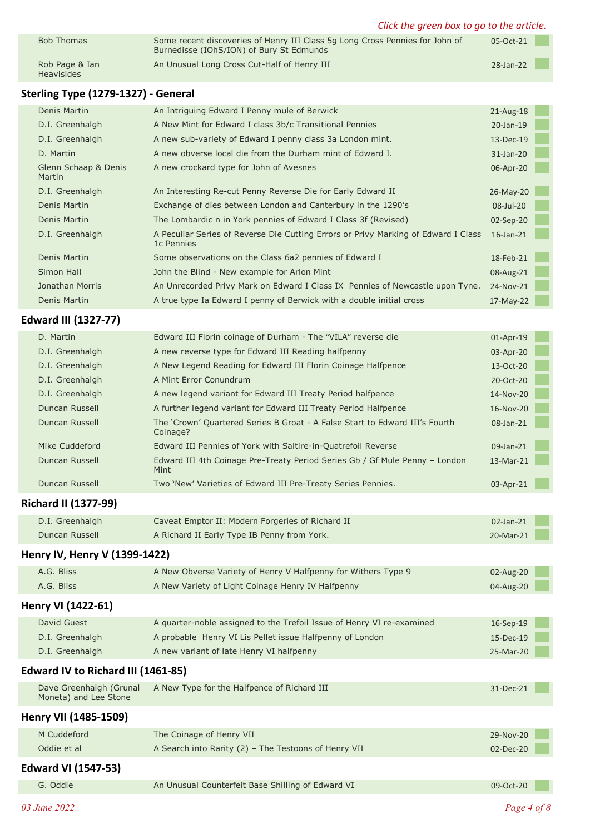|                                                  | Click the green box to go to the article.                                                                                |           |  |
|--------------------------------------------------|--------------------------------------------------------------------------------------------------------------------------|-----------|--|
| <b>Bob Thomas</b>                                | Some recent discoveries of Henry III Class 5g Long Cross Pennies for John of<br>Burnedisse (IOhS/ION) of Bury St Edmunds | 05-Oct-21 |  |
| Rob Page & Ian<br><b>Heavisides</b>              | An Unusual Long Cross Cut-Half of Henry III                                                                              | 28-Jan-22 |  |
| Sterling Type (1279-1327) - General              |                                                                                                                          |           |  |
| Denis Martin                                     | An Intriguing Edward I Penny mule of Berwick                                                                             | 21-Aug-18 |  |
| D.I. Greenhalgh                                  | A New Mint for Edward I class 3b/c Transitional Pennies                                                                  | 20-Jan-19 |  |
| D.I. Greenhalgh                                  | A new sub-variety of Edward I penny class 3a London mint.                                                                | 13-Dec-19 |  |
| D. Martin                                        | A new obverse local die from the Durham mint of Edward I.                                                                | 31-Jan-20 |  |
| Glenn Schaap & Denis<br>Martin                   | A new crockard type for John of Avesnes                                                                                  | 06-Apr-20 |  |
| D.I. Greenhalgh                                  | An Interesting Re-cut Penny Reverse Die for Early Edward II                                                              | 26-May-20 |  |
| Denis Martin                                     | Exchange of dies between London and Canterbury in the 1290's                                                             | 08-Jul-20 |  |
| Denis Martin                                     | The Lombardic n in York pennies of Edward I Class 3f (Revised)                                                           | 02-Sep-20 |  |
| D.I. Greenhalgh                                  | A Peculiar Series of Reverse Die Cutting Errors or Privy Marking of Edward I Class<br>1 <sub>c</sub> Pennies             | 16-Jan-21 |  |
| Denis Martin                                     | Some observations on the Class 6a2 pennies of Edward I                                                                   | 18-Feb-21 |  |
| <b>Simon Hall</b>                                | John the Blind - New example for Arlon Mint                                                                              | 08-Aug-21 |  |
| Jonathan Morris                                  | An Unrecorded Privy Mark on Edward I Class IX Pennies of Newcastle upon Tyne.                                            | 24-Nov-21 |  |
| Denis Martin                                     | A true type Ia Edward I penny of Berwick with a double initial cross                                                     | 17-May-22 |  |
| <b>Edward III (1327-77)</b>                      |                                                                                                                          |           |  |
| D. Martin                                        | Edward III Florin coinage of Durham - The "VILA" reverse die                                                             | 01-Apr-19 |  |
| D.I. Greenhalgh                                  | A new reverse type for Edward III Reading halfpenny                                                                      | 03-Apr-20 |  |
| D.I. Greenhalgh                                  | A New Legend Reading for Edward III Florin Coinage Halfpence                                                             | 13-Oct-20 |  |
| D.I. Greenhalgh                                  | A Mint Error Conundrum                                                                                                   | 20-Oct-20 |  |
| D.I. Greenhalgh                                  | A new legend variant for Edward III Treaty Period halfpence                                                              | 14-Nov-20 |  |
| Duncan Russell                                   | A further legend variant for Edward III Treaty Period Halfpence                                                          | 16-Nov-20 |  |
| <b>Duncan Russell</b>                            | The 'Crown' Quartered Series B Groat - A False Start to Edward III's Fourth<br>Coinage?                                  | 08-Jan-21 |  |
| Mike Cuddeford                                   | Edward III Pennies of York with Saltire-in-Quatrefoil Reverse                                                            | 09-Jan-21 |  |
| Duncan Russell                                   | Edward III 4th Coinage Pre-Treaty Period Series Gb / Gf Mule Penny - London<br>Mint                                      | 13-Mar-21 |  |
| <b>Duncan Russell</b>                            | Two 'New' Varieties of Edward III Pre-Treaty Series Pennies.                                                             | 03-Apr-21 |  |
| <b>Richard II (1377-99)</b>                      |                                                                                                                          |           |  |
| D.I. Greenhalgh                                  | Caveat Emptor II: Modern Forgeries of Richard II                                                                         | 02-Jan-21 |  |
| <b>Duncan Russell</b>                            | A Richard II Early Type IB Penny from York.                                                                              | 20-Mar-21 |  |
| Henry IV, Henry V (1399-1422)                    |                                                                                                                          |           |  |
| A.G. Bliss                                       | A New Obverse Variety of Henry V Halfpenny for Withers Type 9                                                            | 02-Aug-20 |  |
| A.G. Bliss                                       | A New Variety of Light Coinage Henry IV Halfpenny                                                                        | 04-Aug-20 |  |
| Henry VI (1422-61)                               |                                                                                                                          |           |  |
| David Guest                                      | A quarter-noble assigned to the Trefoil Issue of Henry VI re-examined                                                    | 16-Sep-19 |  |
| D.I. Greenhalgh                                  | A probable Henry VI Lis Pellet issue Halfpenny of London                                                                 | 15-Dec-19 |  |
| D.I. Greenhalgh                                  | A new variant of late Henry VI halfpenny                                                                                 | 25-Mar-20 |  |
| Edward IV to Richard III (1461-85)               |                                                                                                                          |           |  |
| Dave Greenhalgh (Grunal<br>Moneta) and Lee Stone | A New Type for the Halfpence of Richard III                                                                              | 31-Dec-21 |  |
| Henry VII (1485-1509)                            |                                                                                                                          |           |  |
| M Cuddeford                                      | The Coinage of Henry VII                                                                                                 | 29-Nov-20 |  |
| Oddie et al                                      | A Search into Rarity (2) - The Testoons of Henry VII                                                                     | 02-Dec-20 |  |
| <b>Edward VI (1547-53)</b>                       |                                                                                                                          |           |  |
| G. Oddie                                         | An Unusual Counterfeit Base Shilling of Edward VI                                                                        | 09-Oct-20 |  |
|                                                  |                                                                                                                          |           |  |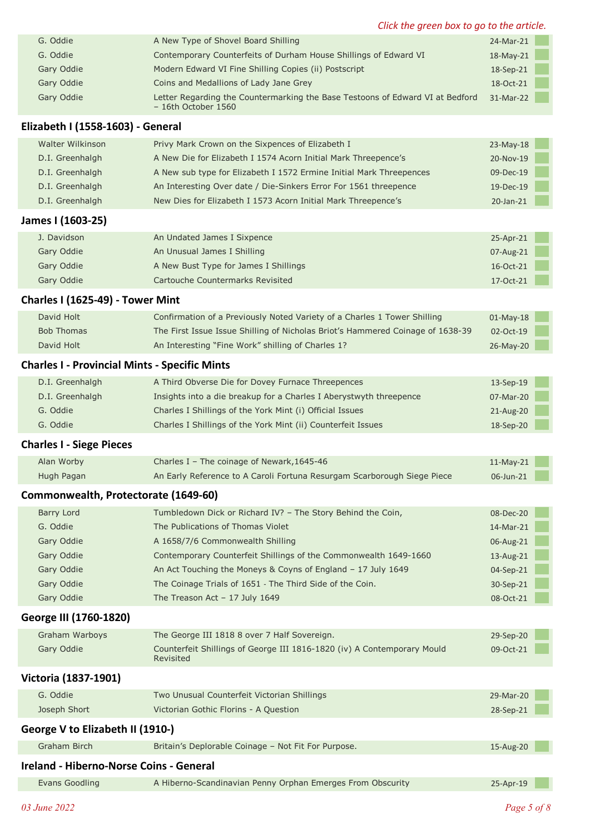| Click the green box to go to the article. |                                                                                                       |              |  |  |  |  |
|-------------------------------------------|-------------------------------------------------------------------------------------------------------|--------------|--|--|--|--|
| G. Oddie                                  | A New Type of Shovel Board Shilling                                                                   | 24-Mar-21    |  |  |  |  |
| G. Oddie                                  | Contemporary Counterfeits of Durham House Shillings of Edward VI                                      | $18$ -May-21 |  |  |  |  |
| Gary Oddie                                | Modern Edward VI Fine Shilling Copies (ii) Postscript                                                 | 18-Sep-21    |  |  |  |  |
| Gary Oddie                                | Coins and Medallions of Lady Jane Grey                                                                | 18-Oct-21    |  |  |  |  |
| Gary Oddie                                | Letter Regarding the Countermarking the Base Testoons of Edward VI at Bedford<br>$-16th$ October 1560 | 31-Mar-22    |  |  |  |  |
| Elizabeth I (1558-1603) - General         |                                                                                                       |              |  |  |  |  |
| Walter Wilkinson                          | Privy Mark Crown on the Sixpences of Elizabeth I                                                      | $23-Mav-18$  |  |  |  |  |
| D.I. Greenhalgh                           | A New Die for Elizabeth I 1574 Acorn Initial Mark Threepence's                                        | 20-Nov-19    |  |  |  |  |
|                                           |                                                                                                       |              |  |  |  |  |

| D.I. Greennaigh                                      | A New Die for Elizabeth I 1574 Acorn Initial Mark Threepence's                 | ZU-NOV-19    |  |
|------------------------------------------------------|--------------------------------------------------------------------------------|--------------|--|
| D.I. Greenhalgh                                      | A New sub type for Elizabeth I 1572 Ermine Initial Mark Threepences            | 09-Dec-19    |  |
| D.I. Greenhalgh                                      | An Interesting Over date / Die-Sinkers Error For 1561 threepence               | 19-Dec-19    |  |
| D.I. Greenhalgh                                      | New Dies for Elizabeth I 1573 Acorn Initial Mark Threepence's                  | 20-Jan-21    |  |
| James I (1603-25)                                    |                                                                                |              |  |
| J. Davidson                                          | An Undated James I Sixpence                                                    | 25-Apr-21    |  |
| Gary Oddie                                           | An Unusual James I Shilling                                                    | 07-Aug-21    |  |
| Gary Oddie                                           | A New Bust Type for James I Shillings                                          | 16-Oct-21    |  |
| Gary Oddie                                           | Cartouche Countermarks Revisited                                               | 17-Oct-21    |  |
| Charles I (1625-49) - Tower Mint                     |                                                                                |              |  |
| David Holt                                           | Confirmation of a Previously Noted Variety of a Charles 1 Tower Shilling       | $01$ -May-18 |  |
| <b>Bob Thomas</b>                                    | The First Issue Issue Shilling of Nicholas Briot's Hammered Coinage of 1638-39 | 02-Oct-19    |  |
| David Holt                                           | An Interesting "Fine Work" shilling of Charles 1?                              | 26-May-20    |  |
| <b>Charles I - Provincial Mints - Specific Mints</b> |                                                                                |              |  |
| D.I. Greenhalgh                                      | A Third Obverse Die for Dovey Furnace Threepences                              | 13-Sep-19    |  |
| D.I. Greenhalgh                                      | Insights into a die breakup for a Charles I Aberystwyth threepence             | 07-Mar-20    |  |
| G. Oddie                                             | Charles I Shillings of the York Mint (i) Official Issues                       | 21-Aug-20    |  |
| G. Oddie                                             | Charles I Shillings of the York Mint (ii) Counterfeit Issues                   | 18-Sep-20    |  |

## **Charles I - Siege Pieces**

| Alan Worby | Charles I - The coinage of Newark, 1645-46                              | $11$ -May-21 |
|------------|-------------------------------------------------------------------------|--------------|
| Hugh Pagan | An Early Reference to A Caroli Fortuna Resurgam Scarborough Siege Piece | 06-Jun-21    |

# **Commonwealth, Protectorate (1649-60)**

| Barry Lord | Tumbledown Dick or Richard IV? - The Story Behind the Coin,      | $08$ -Dec-20 |
|------------|------------------------------------------------------------------|--------------|
| G. Oddie   | The Publications of Thomas Violet                                | 14-Mar-21    |
| Gary Oddie | A 1658/7/6 Commonwealth Shilling                                 | 06-Aug-21    |
| Gary Oddie | Contemporary Counterfeit Shillings of the Commonwealth 1649-1660 | 13-Aug-21    |
| Gary Oddie | An Act Touching the Moneys & Coyns of England - 17 July 1649     | 04-Sep-21    |
| Gary Oddie | The Coinage Trials of 1651 - The Third Side of the Coin.         | 30-Sep-21    |
| Gary Oddie | The Treason Act $-17$ July 1649                                  | 08-Oct-21    |

### **George III (1760-1820)**

| Graham Warboys | The George III 1818 8 over 7 Half Sovereign.                                         | 29-Sep-20 |
|----------------|--------------------------------------------------------------------------------------|-----------|
| Gary Oddie     | Counterfeit Shillings of George III 1816-1820 (iv) A Contemporary Mould<br>Revisited | 09-Oct-21 |

# **Victoria (1837-1901)**

| G. Oddie     | Two Unusual Counterfeit Victorian Shillings | 29-Mar-20 |
|--------------|---------------------------------------------|-----------|
| Joseph Short | Victorian Gothic Florins - A Question       | 28-Sep-21 |
|              |                                             |           |

| George V to Elizabeth II (1910-)        |                                                            |           |  |  |  |  |
|-----------------------------------------|------------------------------------------------------------|-----------|--|--|--|--|
| Graham Birch                            | Britain's Deplorable Coinage - Not Fit For Purpose.        | 15-Aug-20 |  |  |  |  |
| Ireland - Hiberno-Norse Coins - General |                                                            |           |  |  |  |  |
| Evans Goodling                          | A Hiberno-Scandinavian Penny Orphan Emerges From Obscurity | 25-Apr-19 |  |  |  |  |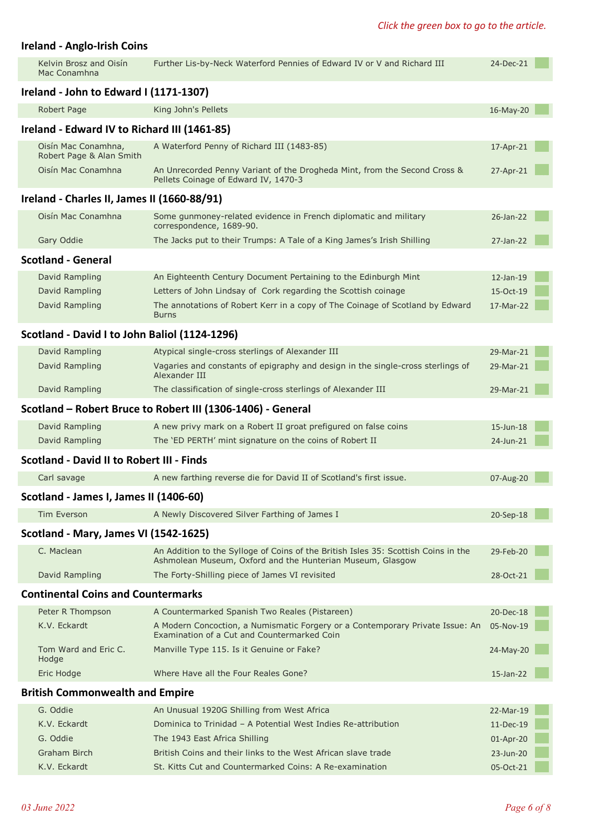# **Ireland - Anglo-Irish Coins**

| Kelvin Brosz and Oisín<br>Mac Conamhna           | Further Lis-by-Neck Waterford Pennies of Edward IV or V and Richard III                                                                          | 24-Dec-21    |  |
|--------------------------------------------------|--------------------------------------------------------------------------------------------------------------------------------------------------|--------------|--|
| Ireland - John to Edward I (1171-1307)           |                                                                                                                                                  |              |  |
| Robert Page                                      | King John's Pellets                                                                                                                              | 16-May-20    |  |
| Ireland - Edward IV to Richard III (1461-85)     |                                                                                                                                                  |              |  |
| Oisín Mac Conamhna,<br>Robert Page & Alan Smith  | A Waterford Penny of Richard III (1483-85)                                                                                                       | 17-Apr-21    |  |
| Oisín Mac Conamhna                               | An Unrecorded Penny Variant of the Drogheda Mint, from the Second Cross &<br>Pellets Coinage of Edward IV, 1470-3                                | 27-Apr-21    |  |
| Ireland - Charles II, James II (1660-88/91)      |                                                                                                                                                  |              |  |
| Oisín Mac Conamhna                               | Some gunmoney-related evidence in French diplomatic and military<br>correspondence, 1689-90.                                                     | 26-Jan-22    |  |
| Gary Oddie                                       | The Jacks put to their Trumps: A Tale of a King James's Irish Shilling                                                                           | 27-Jan-22    |  |
| <b>Scotland - General</b>                        |                                                                                                                                                  |              |  |
| David Rampling                                   | An Eighteenth Century Document Pertaining to the Edinburgh Mint                                                                                  | $12$ -Jan-19 |  |
| David Rampling                                   | Letters of John Lindsay of Cork regarding the Scottish coinage                                                                                   | 15-Oct-19    |  |
| <b>David Rampling</b>                            | The annotations of Robert Kerr in a copy of The Coinage of Scotland by Edward<br><b>Burns</b>                                                    | 17-Mar-22    |  |
| Scotland - David I to John Baliol (1124-1296)    |                                                                                                                                                  |              |  |
| David Rampling                                   | Atypical single-cross sterlings of Alexander III                                                                                                 | 29-Mar-21    |  |
| David Rampling                                   | Vagaries and constants of epigraphy and design in the single-cross sterlings of<br>Alexander III                                                 | 29-Mar-21    |  |
| David Rampling                                   | The classification of single-cross sterlings of Alexander III                                                                                    | 29-Mar-21    |  |
|                                                  | Scotland - Robert Bruce to Robert III (1306-1406) - General                                                                                      |              |  |
| David Rampling                                   | A new privy mark on a Robert II groat prefigured on false coins                                                                                  | 15-Jun-18    |  |
| David Rampling                                   | The 'ED PERTH' mint signature on the coins of Robert II                                                                                          | 24-Jun-21    |  |
| <b>Scotland - David II to Robert III - Finds</b> |                                                                                                                                                  |              |  |
| Carl savage                                      | A new farthing reverse die for David II of Scotland's first issue.                                                                               | 07-Aug-20    |  |
| Scotland - James I, James II (1406-60)           |                                                                                                                                                  |              |  |
| <b>Tim Everson</b>                               | A Newly Discovered Silver Farthing of James I                                                                                                    | 20-Sep-18    |  |
| Scotland - Mary, James VI (1542-1625)            |                                                                                                                                                  |              |  |
| C. Maclean                                       | An Addition to the Sylloge of Coins of the British Isles 35: Scottish Coins in the<br>Ashmolean Museum, Oxford and the Hunterian Museum, Glasgow | 29-Feb-20    |  |
| David Rampling                                   | The Forty-Shilling piece of James VI revisited                                                                                                   | 28-Oct-21    |  |
| <b>Continental Coins and Countermarks</b>        |                                                                                                                                                  |              |  |
| Peter R Thompson                                 | A Countermarked Spanish Two Reales (Pistareen)                                                                                                   | 20-Dec-18    |  |
| K.V. Eckardt                                     | A Modern Concoction, a Numismatic Forgery or a Contemporary Private Issue: An<br>Examination of a Cut and Countermarked Coin                     | 05-Nov-19    |  |
| Tom Ward and Eric C.<br>Hodge                    | Manville Type 115. Is it Genuine or Fake?                                                                                                        | 24-May-20    |  |
| Eric Hodge                                       | Where Have all the Four Reales Gone?                                                                                                             | 15-Jan-22    |  |
| <b>British Commonwealth and Empire</b>           |                                                                                                                                                  |              |  |
| G. Oddie                                         | An Unusual 1920G Shilling from West Africa                                                                                                       | 22-Mar-19    |  |
| K.V. Eckardt                                     | Dominica to Trinidad - A Potential West Indies Re-attribution                                                                                    | 11-Dec-19    |  |
| G. Oddie                                         | The 1943 East Africa Shilling                                                                                                                    | 01-Apr-20    |  |
| Graham Birch                                     | British Coins and their links to the West African slave trade                                                                                    | 23-Jun-20    |  |
| K.V. Eckardt                                     | St. Kitts Cut and Countermarked Coins: A Re-examination                                                                                          | 05-Oct-21    |  |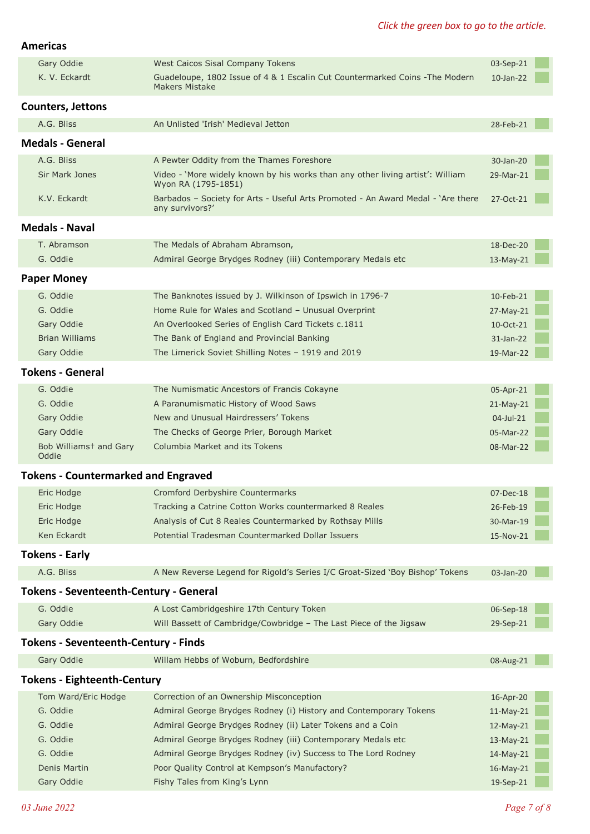### *Click the green box to go to the article.*

#### **Americas**

|                                             | Gary Oddie                                    | West Caicos Sisal Company Tokens                                                                      | 03-Sep-21       |  |  |  |  |  |  |
|---------------------------------------------|-----------------------------------------------|-------------------------------------------------------------------------------------------------------|-----------------|--|--|--|--|--|--|
|                                             | K. V. Eckardt                                 | Guadeloupe, 1802 Issue of 4 & 1 Escalin Cut Countermarked Coins - The Modern<br><b>Makers Mistake</b> | $10$ -Jan- $22$ |  |  |  |  |  |  |
| <b>Counters, Jettons</b>                    |                                               |                                                                                                       |                 |  |  |  |  |  |  |
|                                             | A.G. Bliss                                    | An Unlisted 'Irish' Medieval Jetton                                                                   | 28-Feb-21       |  |  |  |  |  |  |
| <b>Medals - General</b>                     |                                               |                                                                                                       |                 |  |  |  |  |  |  |
|                                             | A.G. Bliss                                    | A Pewter Oddity from the Thames Foreshore                                                             | 30-Jan-20       |  |  |  |  |  |  |
|                                             | Sir Mark Jones                                | Video - 'More widely known by his works than any other living artist': William<br>Wyon RA (1795-1851) | 29-Mar-21       |  |  |  |  |  |  |
|                                             | K.V. Eckardt                                  | Barbados - Society for Arts - Useful Arts Promoted - An Award Medal - 'Are there<br>any survivors?'   | 27-Oct-21       |  |  |  |  |  |  |
| <b>Medals - Naval</b>                       |                                               |                                                                                                       |                 |  |  |  |  |  |  |
|                                             | T. Abramson                                   | The Medals of Abraham Abramson,                                                                       | 18-Dec-20       |  |  |  |  |  |  |
|                                             | G. Oddie                                      | Admiral George Brydges Rodney (iii) Contemporary Medals etc                                           | 13-May-21       |  |  |  |  |  |  |
|                                             | <b>Paper Money</b>                            |                                                                                                       |                 |  |  |  |  |  |  |
|                                             | G. Oddie                                      | The Banknotes issued by J. Wilkinson of Ipswich in 1796-7                                             | 10-Feb-21       |  |  |  |  |  |  |
|                                             | G. Oddie                                      | Home Rule for Wales and Scotland - Unusual Overprint                                                  | 27-May-21       |  |  |  |  |  |  |
|                                             | Gary Oddie                                    | An Overlooked Series of English Card Tickets c.1811                                                   | 10-Oct-21       |  |  |  |  |  |  |
|                                             | <b>Brian Williams</b>                         | The Bank of England and Provincial Banking                                                            | 31-Jan-22       |  |  |  |  |  |  |
|                                             | Gary Oddie                                    | The Limerick Soviet Shilling Notes - 1919 and 2019                                                    | 19-Mar-22       |  |  |  |  |  |  |
| <b>Tokens - General</b>                     |                                               |                                                                                                       |                 |  |  |  |  |  |  |
|                                             | G. Oddie                                      | The Numismatic Ancestors of Francis Cokayne                                                           | 05-Apr-21       |  |  |  |  |  |  |
|                                             | G. Oddie                                      | A Paranumismatic History of Wood Saws                                                                 | 21-May-21       |  |  |  |  |  |  |
|                                             | Gary Oddie                                    | New and Unusual Hairdressers' Tokens                                                                  | 04-Jul-21       |  |  |  |  |  |  |
|                                             | Gary Oddie                                    | The Checks of George Prier, Borough Market                                                            | 05-Mar-22       |  |  |  |  |  |  |
|                                             | Bob Williams <sup>+</sup> and Gary<br>Oddie   | Columbia Market and its Tokens                                                                        | 08-Mar-22       |  |  |  |  |  |  |
| <b>Tokens - Countermarked and Engraved</b>  |                                               |                                                                                                       |                 |  |  |  |  |  |  |
|                                             | Eric Hodge                                    | Cromford Derbyshire Countermarks                                                                      | 07-Dec-18       |  |  |  |  |  |  |
|                                             | Eric Hodge                                    | Tracking a Catrine Cotton Works countermarked 8 Reales                                                | 26-Feb-19       |  |  |  |  |  |  |
|                                             | Eric Hodge                                    | Analysis of Cut 8 Reales Countermarked by Rothsay Mills                                               | 30-Mar-19       |  |  |  |  |  |  |
|                                             | Ken Eckardt                                   | Potential Tradesman Countermarked Dollar Issuers                                                      | 15-Nov-21       |  |  |  |  |  |  |
|                                             | <b>Tokens - Early</b>                         |                                                                                                       |                 |  |  |  |  |  |  |
|                                             | A.G. Bliss                                    | A New Reverse Legend for Rigold's Series I/C Groat-Sized 'Boy Bishop' Tokens                          | 03-Jan-20       |  |  |  |  |  |  |
|                                             | <b>Tokens - Seventeenth-Century - General</b> |                                                                                                       |                 |  |  |  |  |  |  |
|                                             | G. Oddie                                      | A Lost Cambridgeshire 17th Century Token                                                              | 06-Sep-18       |  |  |  |  |  |  |
|                                             | Gary Oddie                                    | Will Bassett of Cambridge/Cowbridge - The Last Piece of the Jigsaw                                    | 29-Sep-21       |  |  |  |  |  |  |
| <b>Tokens - Seventeenth-Century - Finds</b> |                                               |                                                                                                       |                 |  |  |  |  |  |  |
|                                             | Gary Oddie                                    | Willam Hebbs of Woburn, Bedfordshire                                                                  | 08-Aug-21       |  |  |  |  |  |  |
|                                             | <b>Tokens - Eighteenth-Century</b>            |                                                                                                       |                 |  |  |  |  |  |  |
|                                             | Tom Ward/Eric Hodge                           | Correction of an Ownership Misconception                                                              | 16-Apr-20       |  |  |  |  |  |  |
|                                             | G. Oddie                                      | Admiral George Brydges Rodney (i) History and Contemporary Tokens                                     | 11-May-21       |  |  |  |  |  |  |
|                                             | G. Oddie                                      | Admiral George Brydges Rodney (ii) Later Tokens and a Coin                                            | $12$ -May-21    |  |  |  |  |  |  |
|                                             | G. Oddie                                      | Admiral George Brydges Rodney (iii) Contemporary Medals etc                                           | 13-May-21       |  |  |  |  |  |  |
|                                             | G. Oddie                                      | Admiral George Brydges Rodney (iv) Success to The Lord Rodney                                         | 14-May-21       |  |  |  |  |  |  |
|                                             | Denis Martin                                  | Poor Quality Control at Kempson's Manufactory?                                                        | 16-May-21       |  |  |  |  |  |  |
|                                             | Gary Oddie                                    | Fishy Tales from King's Lynn                                                                          | 19-Sep-21       |  |  |  |  |  |  |